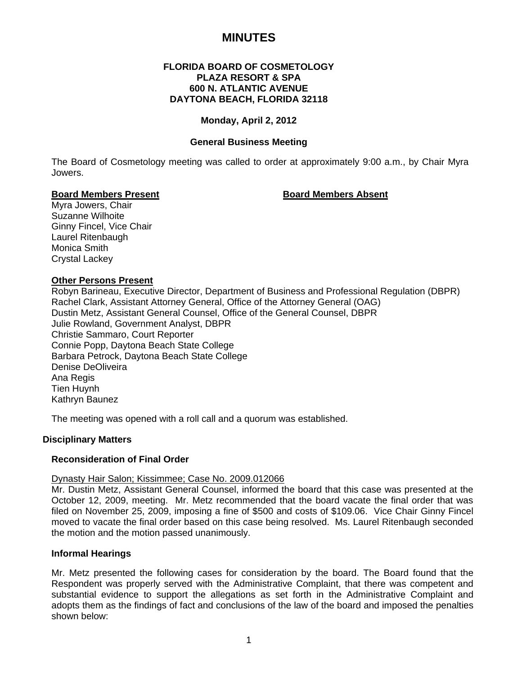# **MINUTES**

# **FLORIDA BOARD OF COSMETOLOGY PLAZA RESORT & SPA 600 N. ATLANTIC AVENUE DAYTONA BEACH, FLORIDA 32118**

# **Monday, April 2, 2012**

## **General Business Meeting**

The Board of Cosmetology meeting was called to order at approximately 9:00 a.m., by Chair Myra Jowers.

## **Board Members Present Communist Communist Board Members Absent**

Myra Jowers, Chair Suzanne Wilhoite Ginny Fincel, Vice Chair Laurel Ritenbaugh Monica Smith Crystal Lackey

## **Other Persons Present**

Robyn Barineau, Executive Director, Department of Business and Professional Regulation (DBPR) Rachel Clark, Assistant Attorney General, Office of the Attorney General (OAG) Dustin Metz, Assistant General Counsel, Office of the General Counsel, DBPR Julie Rowland, Government Analyst, DBPR Christie Sammaro, Court Reporter Connie Popp, Daytona Beach State College Barbara Petrock, Daytona Beach State College Denise DeOliveira Ana Regis Tien Huynh Kathryn Baunez

The meeting was opened with a roll call and a quorum was established.

# **Disciplinary Matters**

## **Reconsideration of Final Order**

# Dynasty Hair Salon; Kissimmee; Case No. 2009.012066

Mr. Dustin Metz, Assistant General Counsel, informed the board that this case was presented at the October 12, 2009, meeting. Mr. Metz recommended that the board vacate the final order that was filed on November 25, 2009, imposing a fine of \$500 and costs of \$109.06. Vice Chair Ginny Fincel moved to vacate the final order based on this case being resolved. Ms. Laurel Ritenbaugh seconded the motion and the motion passed unanimously.

## **Informal Hearings**

Mr. Metz presented the following cases for consideration by the board. The Board found that the Respondent was properly served with the Administrative Complaint, that there was competent and substantial evidence to support the allegations as set forth in the Administrative Complaint and adopts them as the findings of fact and conclusions of the law of the board and imposed the penalties shown below: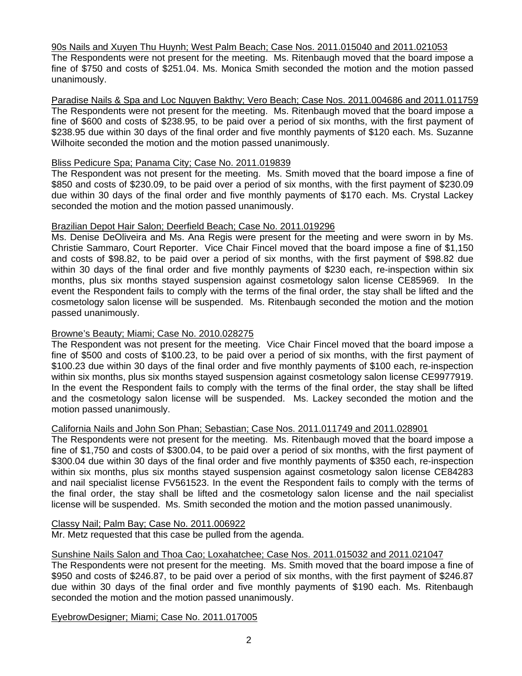# 90s Nails and Xuyen Thu Huynh; West Palm Beach; Case Nos. 2011.015040 and 2011.021053

The Respondents were not present for the meeting. Ms. Ritenbaugh moved that the board impose a fine of \$750 and costs of \$251.04. Ms. Monica Smith seconded the motion and the motion passed unanimously.

Paradise Nails & Spa and Loc Nguyen Bakthy; Vero Beach; Case Nos. 2011.004686 and 2011.011759 The Respondents were not present for the meeting. Ms. Ritenbaugh moved that the board impose a fine of \$600 and costs of \$238.95, to be paid over a period of six months, with the first payment of \$238.95 due within 30 days of the final order and five monthly payments of \$120 each. Ms. Suzanne Wilhoite seconded the motion and the motion passed unanimously.

## Bliss Pedicure Spa; Panama City; Case No. 2011.019839

The Respondent was not present for the meeting. Ms. Smith moved that the board impose a fine of \$850 and costs of \$230.09, to be paid over a period of six months, with the first payment of \$230.09 due within 30 days of the final order and five monthly payments of \$170 each. Ms. Crystal Lackey seconded the motion and the motion passed unanimously.

## Brazilian Depot Hair Salon; Deerfield Beach; Case No. 2011.019296

Ms. Denise DeOliveira and Ms. Ana Regis were present for the meeting and were sworn in by Ms. Christie Sammaro, Court Reporter. Vice Chair Fincel moved that the board impose a fine of \$1,150 and costs of \$98.82, to be paid over a period of six months, with the first payment of \$98.82 due within 30 days of the final order and five monthly payments of \$230 each, re-inspection within six months, plus six months stayed suspension against cosmetology salon license CE85969. In the event the Respondent fails to comply with the terms of the final order, the stay shall be lifted and the cosmetology salon license will be suspended. Ms. Ritenbaugh seconded the motion and the motion passed unanimously.

## Browne's Beauty; Miami; Case No. 2010.028275

The Respondent was not present for the meeting. Vice Chair Fincel moved that the board impose a fine of \$500 and costs of \$100.23, to be paid over a period of six months, with the first payment of \$100.23 due within 30 days of the final order and five monthly payments of \$100 each, re-inspection within six months, plus six months stayed suspension against cosmetology salon license CE9977919. In the event the Respondent fails to comply with the terms of the final order, the stay shall be lifted and the cosmetology salon license will be suspended. Ms. Lackey seconded the motion and the motion passed unanimously.

# California Nails and John Son Phan; Sebastian; Case Nos. 2011.011749 and 2011.028901

The Respondents were not present for the meeting. Ms. Ritenbaugh moved that the board impose a fine of \$1,750 and costs of \$300.04, to be paid over a period of six months, with the first payment of \$300.04 due within 30 days of the final order and five monthly payments of \$350 each, re-inspection within six months, plus six months stayed suspension against cosmetology salon license CE84283 and nail specialist license FV561523. In the event the Respondent fails to comply with the terms of the final order, the stay shall be lifted and the cosmetology salon license and the nail specialist license will be suspended. Ms. Smith seconded the motion and the motion passed unanimously.

Classy Nail; Palm Bay; Case No. 2011.006922

Mr. Metz requested that this case be pulled from the agenda.

# Sunshine Nails Salon and Thoa Cao; Loxahatchee; Case Nos. 2011.015032 and 2011.021047

The Respondents were not present for the meeting. Ms. Smith moved that the board impose a fine of \$950 and costs of \$246.87, to be paid over a period of six months, with the first payment of \$246.87 due within 30 days of the final order and five monthly payments of \$190 each. Ms. Ritenbaugh seconded the motion and the motion passed unanimously.

EyebrowDesigner; Miami; Case No. 2011.017005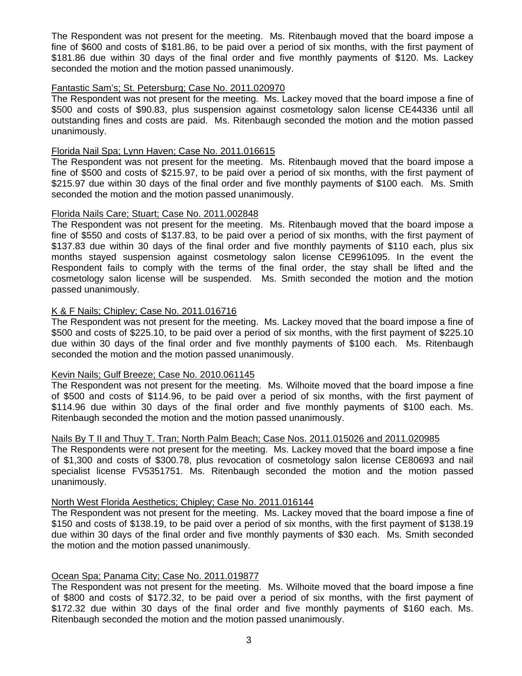The Respondent was not present for the meeting. Ms. Ritenbaugh moved that the board impose a fine of \$600 and costs of \$181.86, to be paid over a period of six months, with the first payment of \$181.86 due within 30 days of the final order and five monthly payments of \$120. Ms. Lackey seconded the motion and the motion passed unanimously.

## Fantastic Sam's; St. Petersburg; Case No. 2011.020970

The Respondent was not present for the meeting. Ms. Lackey moved that the board impose a fine of \$500 and costs of \$90.83, plus suspension against cosmetology salon license CE44336 until all outstanding fines and costs are paid. Ms. Ritenbaugh seconded the motion and the motion passed unanimously.

# Florida Nail Spa; Lynn Haven; Case No. 2011.016615

The Respondent was not present for the meeting. Ms. Ritenbaugh moved that the board impose a fine of \$500 and costs of \$215.97, to be paid over a period of six months, with the first payment of \$215.97 due within 30 days of the final order and five monthly payments of \$100 each. Ms. Smith seconded the motion and the motion passed unanimously.

# Florida Nails Care; Stuart; Case No. 2011.002848

The Respondent was not present for the meeting. Ms. Ritenbaugh moved that the board impose a fine of \$550 and costs of \$137.83, to be paid over a period of six months, with the first payment of \$137.83 due within 30 days of the final order and five monthly payments of \$110 each, plus six months stayed suspension against cosmetology salon license CE9961095. In the event the Respondent fails to comply with the terms of the final order, the stay shall be lifted and the cosmetology salon license will be suspended. Ms. Smith seconded the motion and the motion passed unanimously.

# K & F Nails; Chipley; Case No. 2011.016716

The Respondent was not present for the meeting. Ms. Lackey moved that the board impose a fine of \$500 and costs of \$225.10, to be paid over a period of six months, with the first payment of \$225.10 due within 30 days of the final order and five monthly payments of \$100 each. Ms. Ritenbaugh seconded the motion and the motion passed unanimously.

## Kevin Nails; Gulf Breeze; Case No. 2010.061145

The Respondent was not present for the meeting. Ms. Wilhoite moved that the board impose a fine of \$500 and costs of \$114.96, to be paid over a period of six months, with the first payment of \$114.96 due within 30 days of the final order and five monthly payments of \$100 each. Ms. Ritenbaugh seconded the motion and the motion passed unanimously.

# Nails By T II and Thuy T. Tran; North Palm Beach; Case Nos. 2011.015026 and 2011.020985

The Respondents were not present for the meeting. Ms. Lackey moved that the board impose a fine of \$1,300 and costs of \$300.78, plus revocation of cosmetology salon license CE80693 and nail specialist license FV5351751. Ms. Ritenbaugh seconded the motion and the motion passed unanimously.

## North West Florida Aesthetics; Chipley; Case No. 2011.016144

The Respondent was not present for the meeting. Ms. Lackey moved that the board impose a fine of \$150 and costs of \$138.19, to be paid over a period of six months, with the first payment of \$138.19 due within 30 days of the final order and five monthly payments of \$30 each. Ms. Smith seconded the motion and the motion passed unanimously.

## Ocean Spa; Panama City; Case No. 2011.019877

The Respondent was not present for the meeting. Ms. Wilhoite moved that the board impose a fine of \$800 and costs of \$172.32, to be paid over a period of six months, with the first payment of \$172.32 due within 30 days of the final order and five monthly payments of \$160 each. Ms. Ritenbaugh seconded the motion and the motion passed unanimously.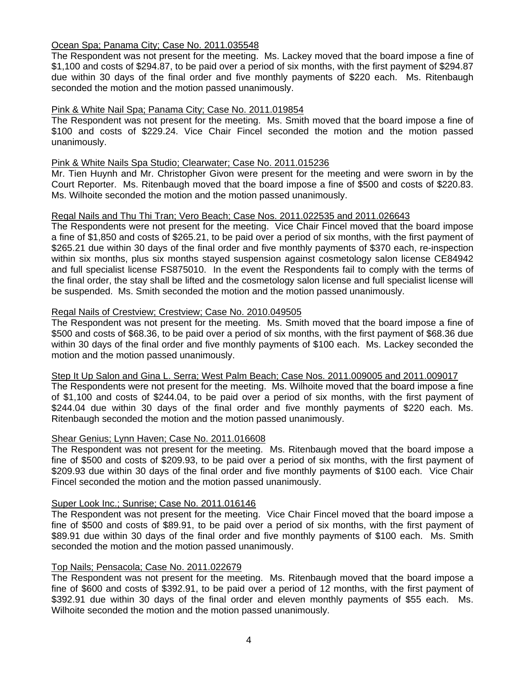# Ocean Spa; Panama City; Case No. 2011.035548

The Respondent was not present for the meeting. Ms. Lackey moved that the board impose a fine of \$1,100 and costs of \$294.87, to be paid over a period of six months, with the first payment of \$294.87 due within 30 days of the final order and five monthly payments of \$220 each. Ms. Ritenbaugh seconded the motion and the motion passed unanimously.

## Pink & White Nail Spa; Panama City; Case No. 2011.019854

The Respondent was not present for the meeting. Ms. Smith moved that the board impose a fine of \$100 and costs of \$229.24. Vice Chair Fincel seconded the motion and the motion passed unanimously.

## Pink & White Nails Spa Studio; Clearwater; Case No. 2011.015236

Mr. Tien Huynh and Mr. Christopher Givon were present for the meeting and were sworn in by the Court Reporter. Ms. Ritenbaugh moved that the board impose a fine of \$500 and costs of \$220.83. Ms. Wilhoite seconded the motion and the motion passed unanimously.

# Regal Nails and Thu Thi Tran; Vero Beach; Case Nos. 2011.022535 and 2011.026643

The Respondents were not present for the meeting. Vice Chair Fincel moved that the board impose a fine of \$1,850 and costs of \$265.21, to be paid over a period of six months, with the first payment of \$265.21 due within 30 days of the final order and five monthly payments of \$370 each, re-inspection within six months, plus six months stayed suspension against cosmetology salon license CE84942 and full specialist license FS875010. In the event the Respondents fail to comply with the terms of the final order, the stay shall be lifted and the cosmetology salon license and full specialist license will be suspended. Ms. Smith seconded the motion and the motion passed unanimously.

# Regal Nails of Crestview; Crestview; Case No. 2010.049505

The Respondent was not present for the meeting. Ms. Smith moved that the board impose a fine of \$500 and costs of \$68.36, to be paid over a period of six months, with the first payment of \$68.36 due within 30 days of the final order and five monthly payments of \$100 each. Ms. Lackey seconded the motion and the motion passed unanimously.

## Step It Up Salon and Gina L. Serra; West Palm Beach; Case Nos. 2011.009005 and 2011.009017

The Respondents were not present for the meeting. Ms. Wilhoite moved that the board impose a fine of \$1,100 and costs of \$244.04, to be paid over a period of six months, with the first payment of \$244.04 due within 30 days of the final order and five monthly payments of \$220 each. Ms. Ritenbaugh seconded the motion and the motion passed unanimously.

## Shear Genius; Lynn Haven; Case No. 2011.016608

The Respondent was not present for the meeting. Ms. Ritenbaugh moved that the board impose a fine of \$500 and costs of \$209.93, to be paid over a period of six months, with the first payment of \$209.93 due within 30 days of the final order and five monthly payments of \$100 each. Vice Chair Fincel seconded the motion and the motion passed unanimously.

## Super Look Inc.; Sunrise; Case No. 2011.016146

The Respondent was not present for the meeting. Vice Chair Fincel moved that the board impose a fine of \$500 and costs of \$89.91, to be paid over a period of six months, with the first payment of \$89.91 due within 30 days of the final order and five monthly payments of \$100 each. Ms. Smith seconded the motion and the motion passed unanimously.

## Top Nails; Pensacola; Case No. 2011.022679

The Respondent was not present for the meeting. Ms. Ritenbaugh moved that the board impose a fine of \$600 and costs of \$392.91, to be paid over a period of 12 months, with the first payment of \$392.91 due within 30 days of the final order and eleven monthly payments of \$55 each. Ms. Wilhoite seconded the motion and the motion passed unanimously.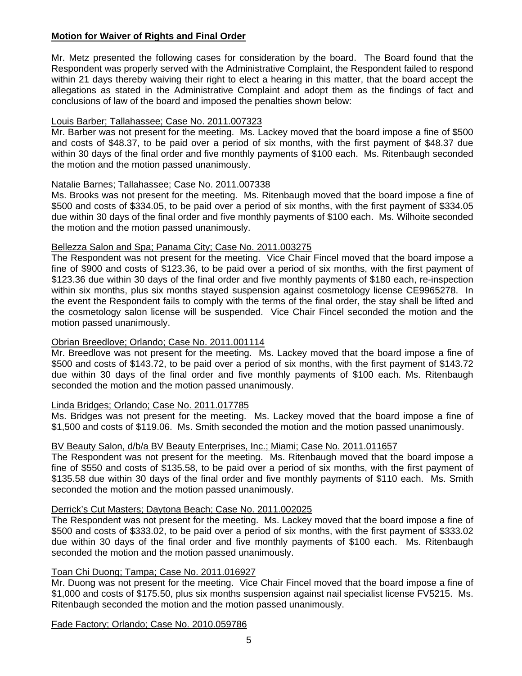# **Motion for Waiver of Rights and Final Order**

Mr. Metz presented the following cases for consideration by the board. The Board found that the Respondent was properly served with the Administrative Complaint, the Respondent failed to respond within 21 days thereby waiving their right to elect a hearing in this matter, that the board accept the allegations as stated in the Administrative Complaint and adopt them as the findings of fact and conclusions of law of the board and imposed the penalties shown below:

# Louis Barber; Tallahassee; Case No. 2011.007323

Mr. Barber was not present for the meeting. Ms. Lackey moved that the board impose a fine of \$500 and costs of \$48.37, to be paid over a period of six months, with the first payment of \$48.37 due within 30 days of the final order and five monthly payments of \$100 each. Ms. Ritenbaugh seconded the motion and the motion passed unanimously.

# Natalie Barnes; Tallahassee; Case No. 2011.007338

Ms. Brooks was not present for the meeting. Ms. Ritenbaugh moved that the board impose a fine of \$500 and costs of \$334.05, to be paid over a period of six months, with the first payment of \$334.05 due within 30 days of the final order and five monthly payments of \$100 each. Ms. Wilhoite seconded the motion and the motion passed unanimously.

# Bellezza Salon and Spa; Panama City; Case No. 2011.003275

The Respondent was not present for the meeting. Vice Chair Fincel moved that the board impose a fine of \$900 and costs of \$123.36, to be paid over a period of six months, with the first payment of \$123.36 due within 30 days of the final order and five monthly payments of \$180 each, re-inspection within six months, plus six months stayed suspension against cosmetology license CE9965278. In the event the Respondent fails to comply with the terms of the final order, the stay shall be lifted and the cosmetology salon license will be suspended. Vice Chair Fincel seconded the motion and the motion passed unanimously.

# Obrian Breedlove; Orlando; Case No. 2011.001114

Mr. Breedlove was not present for the meeting. Ms. Lackey moved that the board impose a fine of \$500 and costs of \$143.72, to be paid over a period of six months, with the first payment of \$143.72 due within 30 days of the final order and five monthly payments of \$100 each. Ms. Ritenbaugh seconded the motion and the motion passed unanimously.

# Linda Bridges; Orlando; Case No. 2011.017785

Ms. Bridges was not present for the meeting. Ms. Lackey moved that the board impose a fine of \$1,500 and costs of \$119.06. Ms. Smith seconded the motion and the motion passed unanimously.

# BV Beauty Salon, d/b/a BV Beauty Enterprises, Inc.; Miami; Case No. 2011.011657

The Respondent was not present for the meeting. Ms. Ritenbaugh moved that the board impose a fine of \$550 and costs of \$135.58, to be paid over a period of six months, with the first payment of \$135.58 due within 30 days of the final order and five monthly payments of \$110 each. Ms. Smith seconded the motion and the motion passed unanimously.

# Derrick's Cut Masters; Daytona Beach; Case No. 2011.002025

The Respondent was not present for the meeting. Ms. Lackey moved that the board impose a fine of \$500 and costs of \$333.02, to be paid over a period of six months, with the first payment of \$333.02 due within 30 days of the final order and five monthly payments of \$100 each. Ms. Ritenbaugh seconded the motion and the motion passed unanimously.

# Toan Chi Duong; Tampa; Case No. 2011.016927

Mr. Duong was not present for the meeting. Vice Chair Fincel moved that the board impose a fine of \$1,000 and costs of \$175.50, plus six months suspension against nail specialist license FV5215. Ms. Ritenbaugh seconded the motion and the motion passed unanimously.

Fade Factory; Orlando; Case No. 2010.059786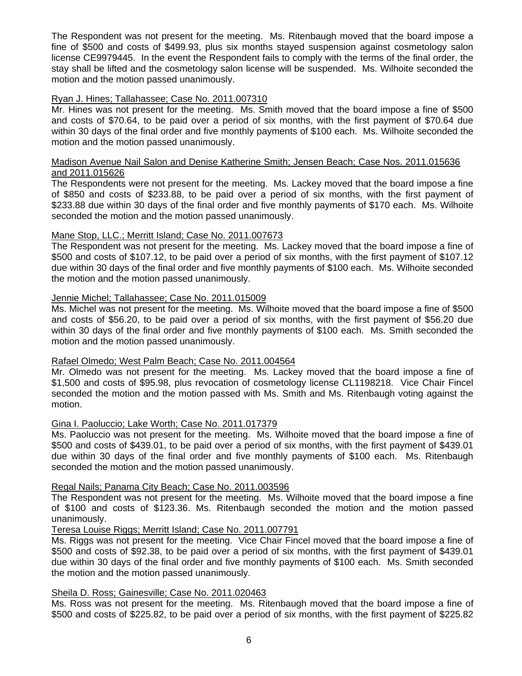The Respondent was not present for the meeting. Ms. Ritenbaugh moved that the board impose a fine of \$500 and costs of \$499.93, plus six months stayed suspension against cosmetology salon license CE9979445. In the event the Respondent fails to comply with the terms of the final order, the stay shall be lifted and the cosmetology salon license will be suspended. Ms. Wilhoite seconded the motion and the motion passed unanimously.

# Ryan J. Hines; Tallahassee; Case No. 2011.007310

Mr. Hines was not present for the meeting. Ms. Smith moved that the board impose a fine of \$500 and costs of \$70.64, to be paid over a period of six months, with the first payment of \$70.64 due within 30 days of the final order and five monthly payments of \$100 each. Ms. Wilhoite seconded the motion and the motion passed unanimously.

## Madison Avenue Nail Salon and Denise Katherine Smith; Jensen Beach; Case Nos. 2011.015636 and 2011.015626

The Respondents were not present for the meeting. Ms. Lackey moved that the board impose a fine of \$850 and costs of \$233.88, to be paid over a period of six months, with the first payment of \$233.88 due within 30 days of the final order and five monthly payments of \$170 each. Ms. Wilhoite seconded the motion and the motion passed unanimously.

# Mane Stop, LLC.; Merritt Island; Case No. 2011.007673

The Respondent was not present for the meeting. Ms. Lackey moved that the board impose a fine of \$500 and costs of \$107.12, to be paid over a period of six months, with the first payment of \$107.12 due within 30 days of the final order and five monthly payments of \$100 each. Ms. Wilhoite seconded the motion and the motion passed unanimously.

# Jennie Michel; Tallahassee; Case No. 2011.015009

Ms. Michel was not present for the meeting. Ms. Wilhoite moved that the board impose a fine of \$500 and costs of \$56.20, to be paid over a period of six months, with the first payment of \$56.20 due within 30 days of the final order and five monthly payments of \$100 each. Ms. Smith seconded the motion and the motion passed unanimously.

## Rafael Olmedo; West Palm Beach; Case No. 2011.004564

Mr. Olmedo was not present for the meeting. Ms. Lackey moved that the board impose a fine of \$1,500 and costs of \$95.98, plus revocation of cosmetology license CL1198218. Vice Chair Fincel seconded the motion and the motion passed with Ms. Smith and Ms. Ritenbaugh voting against the motion.

## Gina I. Paoluccio; Lake Worth; Case No. 2011.017379

Ms. Paoluccio was not present for the meeting. Ms. Wilhoite moved that the board impose a fine of \$500 and costs of \$439.01, to be paid over a period of six months, with the first payment of \$439.01 due within 30 days of the final order and five monthly payments of \$100 each. Ms. Ritenbaugh seconded the motion and the motion passed unanimously.

## Regal Nails; Panama City Beach; Case No. 2011.003596

The Respondent was not present for the meeting. Ms. Wilhoite moved that the board impose a fine of \$100 and costs of \$123.36. Ms. Ritenbaugh seconded the motion and the motion passed unanimously.

## Teresa Louise Riggs; Merritt Island; Case No. 2011.007791

Ms. Riggs was not present for the meeting. Vice Chair Fincel moved that the board impose a fine of \$500 and costs of \$92.38, to be paid over a period of six months, with the first payment of \$439.01 due within 30 days of the final order and five monthly payments of \$100 each. Ms. Smith seconded the motion and the motion passed unanimously.

## Sheila D. Ross; Gainesville; Case No. 2011.020463

Ms. Ross was not present for the meeting. Ms. Ritenbaugh moved that the board impose a fine of \$500 and costs of \$225.82, to be paid over a period of six months, with the first payment of \$225.82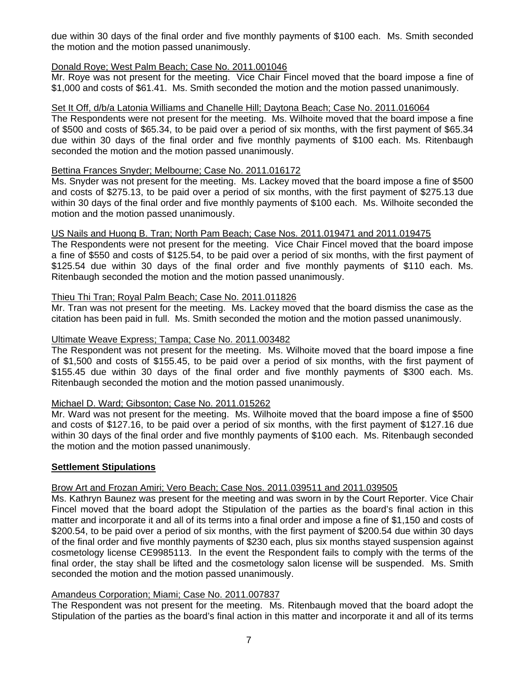due within 30 days of the final order and five monthly payments of \$100 each. Ms. Smith seconded the motion and the motion passed unanimously.

# Donald Roye; West Palm Beach; Case No. 2011.001046

Mr. Roye was not present for the meeting. Vice Chair Fincel moved that the board impose a fine of \$1,000 and costs of \$61.41. Ms. Smith seconded the motion and the motion passed unanimously.

# Set It Off, d/b/a Latonia Williams and Chanelle Hill; Daytona Beach; Case No. 2011.016064

The Respondents were not present for the meeting. Ms. Wilhoite moved that the board impose a fine of \$500 and costs of \$65.34, to be paid over a period of six months, with the first payment of \$65.34 due within 30 days of the final order and five monthly payments of \$100 each. Ms. Ritenbaugh seconded the motion and the motion passed unanimously.

# Bettina Frances Snyder; Melbourne; Case No. 2011.016172

Ms. Snyder was not present for the meeting. Ms. Lackey moved that the board impose a fine of \$500 and costs of \$275.13, to be paid over a period of six months, with the first payment of \$275.13 due within 30 days of the final order and five monthly payments of \$100 each. Ms. Wilhoite seconded the motion and the motion passed unanimously.

# US Nails and Huong B. Tran; North Pam Beach; Case Nos. 2011.019471 and 2011.019475

The Respondents were not present for the meeting. Vice Chair Fincel moved that the board impose a fine of \$550 and costs of \$125.54, to be paid over a period of six months, with the first payment of \$125.54 due within 30 days of the final order and five monthly payments of \$110 each. Ms. Ritenbaugh seconded the motion and the motion passed unanimously.

# Thieu Thi Tran; Royal Palm Beach; Case No. 2011.011826

Mr. Tran was not present for the meeting. Ms. Lackey moved that the board dismiss the case as the citation has been paid in full. Ms. Smith seconded the motion and the motion passed unanimously.

## Ultimate Weave Express; Tampa; Case No. 2011.003482

The Respondent was not present for the meeting. Ms. Wilhoite moved that the board impose a fine of \$1,500 and costs of \$155.45, to be paid over a period of six months, with the first payment of \$155.45 due within 30 days of the final order and five monthly payments of \$300 each. Ms. Ritenbaugh seconded the motion and the motion passed unanimously.

# Michael D. Ward; Gibsonton; Case No. 2011.015262

Mr. Ward was not present for the meeting. Ms. Wilhoite moved that the board impose a fine of \$500 and costs of \$127.16, to be paid over a period of six months, with the first payment of \$127.16 due within 30 days of the final order and five monthly payments of \$100 each. Ms. Ritenbaugh seconded the motion and the motion passed unanimously.

# **Settlement Stipulations**

## Brow Art and Frozan Amiri; Vero Beach; Case Nos. 2011.039511 and 2011.039505

Ms. Kathryn Baunez was present for the meeting and was sworn in by the Court Reporter. Vice Chair Fincel moved that the board adopt the Stipulation of the parties as the board's final action in this matter and incorporate it and all of its terms into a final order and impose a fine of \$1,150 and costs of \$200.54, to be paid over a period of six months, with the first payment of \$200.54 due within 30 days of the final order and five monthly payments of \$230 each, plus six months stayed suspension against cosmetology license CE9985113. In the event the Respondent fails to comply with the terms of the final order, the stay shall be lifted and the cosmetology salon license will be suspended. Ms. Smith seconded the motion and the motion passed unanimously.

## Amandeus Corporation; Miami; Case No. 2011.007837

The Respondent was not present for the meeting. Ms. Ritenbaugh moved that the board adopt the Stipulation of the parties as the board's final action in this matter and incorporate it and all of its terms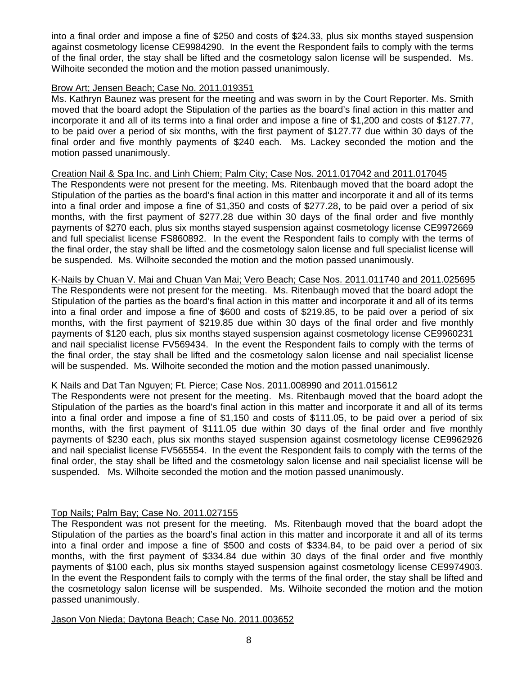into a final order and impose a fine of \$250 and costs of \$24.33, plus six months stayed suspension against cosmetology license CE9984290. In the event the Respondent fails to comply with the terms of the final order, the stay shall be lifted and the cosmetology salon license will be suspended. Ms. Wilhoite seconded the motion and the motion passed unanimously.

# Brow Art; Jensen Beach; Case No. 2011.019351

Ms. Kathryn Baunez was present for the meeting and was sworn in by the Court Reporter. Ms. Smith moved that the board adopt the Stipulation of the parties as the board's final action in this matter and incorporate it and all of its terms into a final order and impose a fine of \$1,200 and costs of \$127.77, to be paid over a period of six months, with the first payment of \$127.77 due within 30 days of the final order and five monthly payments of \$240 each. Ms. Lackey seconded the motion and the motion passed unanimously.

## Creation Nail & Spa Inc. and Linh Chiem; Palm City; Case Nos. 2011.017042 and 2011.017045

The Respondents were not present for the meeting. Ms. Ritenbaugh moved that the board adopt the Stipulation of the parties as the board's final action in this matter and incorporate it and all of its terms into a final order and impose a fine of \$1,350 and costs of \$277.28, to be paid over a period of six months, with the first payment of \$277.28 due within 30 days of the final order and five monthly payments of \$270 each, plus six months stayed suspension against cosmetology license CE9972669 and full specialist license FS860892. In the event the Respondent fails to comply with the terms of the final order, the stay shall be lifted and the cosmetology salon license and full specialist license will be suspended. Ms. Wilhoite seconded the motion and the motion passed unanimously.

K-Nails by Chuan V. Mai and Chuan Van Mai; Vero Beach; Case Nos. 2011.011740 and 2011.025695 The Respondents were not present for the meeting. Ms. Ritenbaugh moved that the board adopt the Stipulation of the parties as the board's final action in this matter and incorporate it and all of its terms into a final order and impose a fine of \$600 and costs of \$219.85, to be paid over a period of six months, with the first payment of \$219.85 due within 30 days of the final order and five monthly payments of \$120 each, plus six months stayed suspension against cosmetology license CE9960231 and nail specialist license FV569434. In the event the Respondent fails to comply with the terms of the final order, the stay shall be lifted and the cosmetology salon license and nail specialist license will be suspended. Ms. Wilhoite seconded the motion and the motion passed unanimously.

## K Nails and Dat Tan Nguyen; Ft. Pierce; Case Nos. 2011.008990 and 2011.015612

The Respondents were not present for the meeting. Ms. Ritenbaugh moved that the board adopt the Stipulation of the parties as the board's final action in this matter and incorporate it and all of its terms into a final order and impose a fine of \$1,150 and costs of \$111.05, to be paid over a period of six months, with the first payment of \$111.05 due within 30 days of the final order and five monthly payments of \$230 each, plus six months stayed suspension against cosmetology license CE9962926 and nail specialist license FV565554. In the event the Respondent fails to comply with the terms of the final order, the stay shall be lifted and the cosmetology salon license and nail specialist license will be suspended. Ms. Wilhoite seconded the motion and the motion passed unanimously.

# Top Nails; Palm Bay; Case No. 2011.027155

The Respondent was not present for the meeting. Ms. Ritenbaugh moved that the board adopt the Stipulation of the parties as the board's final action in this matter and incorporate it and all of its terms into a final order and impose a fine of \$500 and costs of \$334.84, to be paid over a period of six months, with the first payment of \$334.84 due within 30 days of the final order and five monthly payments of \$100 each, plus six months stayed suspension against cosmetology license CE9974903. In the event the Respondent fails to comply with the terms of the final order, the stay shall be lifted and the cosmetology salon license will be suspended. Ms. Wilhoite seconded the motion and the motion passed unanimously.

## Jason Von Nieda; Daytona Beach; Case No. 2011.003652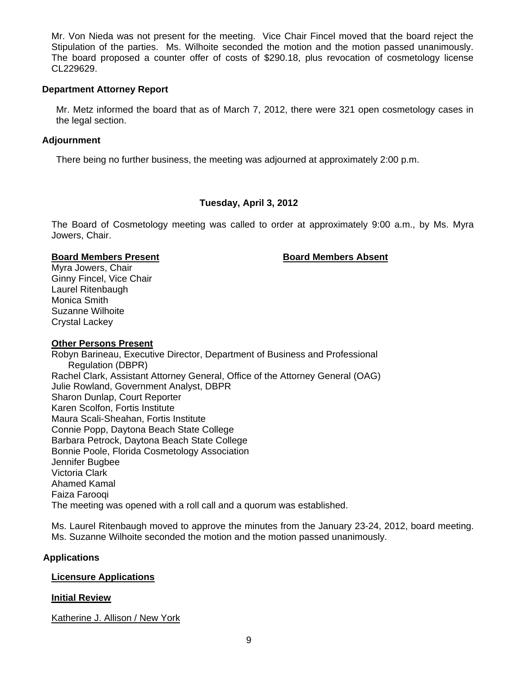Mr. Von Nieda was not present for the meeting. Vice Chair Fincel moved that the board reject the Stipulation of the parties. Ms. Wilhoite seconded the motion and the motion passed unanimously. The board proposed a counter offer of costs of \$290.18, plus revocation of cosmetology license CL229629.

## **Department Attorney Report**

Mr. Metz informed the board that as of March 7, 2012, there were 321 open cosmetology cases in the legal section.

# **Adjournment**

There being no further business, the meeting was adjourned at approximately 2:00 p.m.

# **Tuesday, April 3, 2012**

The Board of Cosmetology meeting was called to order at approximately 9:00 a.m., by Ms. Myra Jowers, Chair.

## **Board Members Present Communist Board Members Absent**

Myra Jowers, Chair Ginny Fincel, Vice Chair Laurel Ritenbaugh Monica Smith Suzanne Wilhoite Crystal Lackey

## **Other Persons Present**

Robyn Barineau, Executive Director, Department of Business and Professional Regulation (DBPR) Rachel Clark, Assistant Attorney General, Office of the Attorney General (OAG) Julie Rowland, Government Analyst, DBPR Sharon Dunlap, Court Reporter Karen Scolfon, Fortis Institute Maura Scali-Sheahan, Fortis Institute Connie Popp, Daytona Beach State College Barbara Petrock, Daytona Beach State College Bonnie Poole, Florida Cosmetology Association Jennifer Bugbee Victoria Clark Ahamed Kamal Faiza Farooqi The meeting was opened with a roll call and a quorum was established.

Ms. Laurel Ritenbaugh moved to approve the minutes from the January 23-24, 2012, board meeting. Ms. Suzanne Wilhoite seconded the motion and the motion passed unanimously.

# **Applications**

# **Licensure Applications**

# **Initial Review**

Katherine J. Allison / New York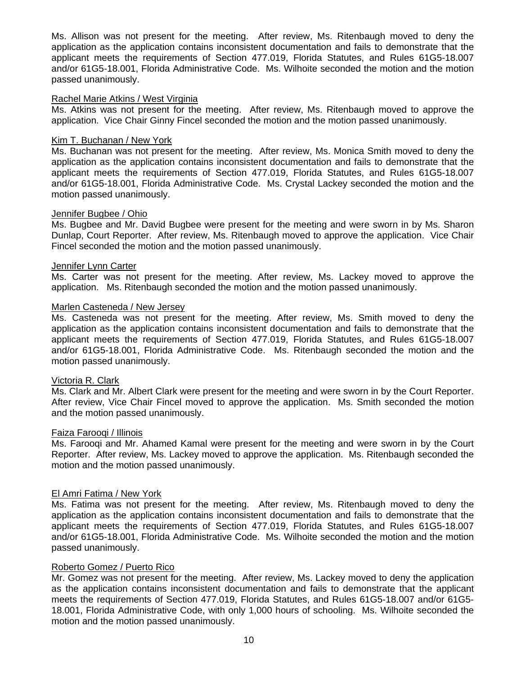Ms. Allison was not present for the meeting. After review, Ms. Ritenbaugh moved to deny the application as the application contains inconsistent documentation and fails to demonstrate that the applicant meets the requirements of Section 477.019, Florida Statutes, and Rules 61G5-18.007 and/or 61G5-18.001, Florida Administrative Code. Ms. Wilhoite seconded the motion and the motion passed unanimously.

## Rachel Marie Atkins / West Virginia

Ms. Atkins was not present for the meeting. After review, Ms. Ritenbaugh moved to approve the application. Vice Chair Ginny Fincel seconded the motion and the motion passed unanimously.

#### Kim T. Buchanan / New York

Ms. Buchanan was not present for the meeting. After review, Ms. Monica Smith moved to deny the application as the application contains inconsistent documentation and fails to demonstrate that the applicant meets the requirements of Section 477.019, Florida Statutes, and Rules 61G5-18.007 and/or 61G5-18.001, Florida Administrative Code. Ms. Crystal Lackey seconded the motion and the motion passed unanimously.

#### Jennifer Bugbee / Ohio

Ms. Bugbee and Mr. David Bugbee were present for the meeting and were sworn in by Ms. Sharon Dunlap, Court Reporter. After review, Ms. Ritenbaugh moved to approve the application. Vice Chair Fincel seconded the motion and the motion passed unanimously.

#### Jennifer Lynn Carter

Ms. Carter was not present for the meeting. After review, Ms. Lackey moved to approve the application. Ms. Ritenbaugh seconded the motion and the motion passed unanimously.

#### Marlen Casteneda / New Jersey

Ms. Casteneda was not present for the meeting. After review, Ms. Smith moved to deny the application as the application contains inconsistent documentation and fails to demonstrate that the applicant meets the requirements of Section 477.019, Florida Statutes, and Rules 61G5-18.007 and/or 61G5-18.001, Florida Administrative Code. Ms. Ritenbaugh seconded the motion and the motion passed unanimously.

## Victoria R. Clark

Ms. Clark and Mr. Albert Clark were present for the meeting and were sworn in by the Court Reporter. After review, Vice Chair Fincel moved to approve the application. Ms. Smith seconded the motion and the motion passed unanimously.

#### Faiza Farooqi / Illinois

Ms. Farooqi and Mr. Ahamed Kamal were present for the meeting and were sworn in by the Court Reporter. After review, Ms. Lackey moved to approve the application. Ms. Ritenbaugh seconded the motion and the motion passed unanimously.

## El Amri Fatima / New York

Ms. Fatima was not present for the meeting. After review, Ms. Ritenbaugh moved to deny the application as the application contains inconsistent documentation and fails to demonstrate that the applicant meets the requirements of Section 477.019, Florida Statutes, and Rules 61G5-18.007 and/or 61G5-18.001, Florida Administrative Code. Ms. Wilhoite seconded the motion and the motion passed unanimously.

#### Roberto Gomez / Puerto Rico

Mr. Gomez was not present for the meeting. After review, Ms. Lackey moved to deny the application as the application contains inconsistent documentation and fails to demonstrate that the applicant meets the requirements of Section 477.019, Florida Statutes, and Rules 61G5-18.007 and/or 61G5- 18.001, Florida Administrative Code, with only 1,000 hours of schooling. Ms. Wilhoite seconded the motion and the motion passed unanimously.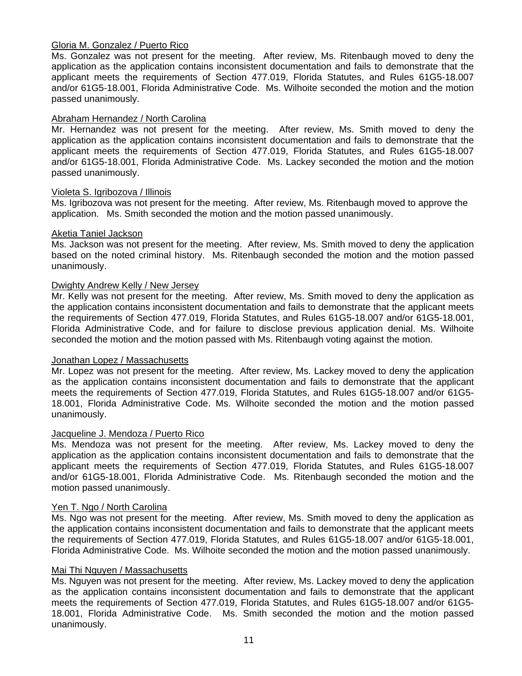# Gloria M. Gonzalez / Puerto Rico

Ms. Gonzalez was not present for the meeting. After review, Ms. Ritenbaugh moved to deny the application as the application contains inconsistent documentation and fails to demonstrate that the applicant meets the requirements of Section 477.019, Florida Statutes, and Rules 61G5-18.007 and/or 61G5-18.001, Florida Administrative Code. Ms. Wilhoite seconded the motion and the motion passed unanimously.

# Abraham Hernandez / North Carolina

Mr. Hernandez was not present for the meeting. After review, Ms. Smith moved to deny the application as the application contains inconsistent documentation and fails to demonstrate that the applicant meets the requirements of Section 477.019, Florida Statutes, and Rules 61G5-18.007 and/or 61G5-18.001, Florida Administrative Code. Ms. Lackey seconded the motion and the motion passed unanimously.

## Violeta S. Igribozova / Illinois

Ms. Igribozova was not present for the meeting. After review, Ms. Ritenbaugh moved to approve the application. Ms. Smith seconded the motion and the motion passed unanimously.

## Aketia Taniel Jackson

Ms. Jackson was not present for the meeting. After review, Ms. Smith moved to deny the application based on the noted criminal history. Ms. Ritenbaugh seconded the motion and the motion passed unanimously.

# Dwighty Andrew Kelly / New Jersey

Mr. Kelly was not present for the meeting. After review, Ms. Smith moved to deny the application as the application contains inconsistent documentation and fails to demonstrate that the applicant meets the requirements of Section 477.019, Florida Statutes, and Rules 61G5-18.007 and/or 61G5-18.001, Florida Administrative Code, and for failure to disclose previous application denial. Ms. Wilhoite seconded the motion and the motion passed with Ms. Ritenbaugh voting against the motion.

## Jonathan Lopez / Massachusetts

Mr. Lopez was not present for the meeting. After review, Ms. Lackey moved to deny the application as the application contains inconsistent documentation and fails to demonstrate that the applicant meets the requirements of Section 477.019, Florida Statutes, and Rules 61G5-18.007 and/or 61G5- 18.001, Florida Administrative Code. Ms. Wilhoite seconded the motion and the motion passed unanimously.

## Jacqueline J. Mendoza / Puerto Rico

Ms. Mendoza was not present for the meeting. After review, Ms. Lackey moved to deny the application as the application contains inconsistent documentation and fails to demonstrate that the applicant meets the requirements of Section 477.019, Florida Statutes, and Rules 61G5-18.007 and/or 61G5-18.001, Florida Administrative Code. Ms. Ritenbaugh seconded the motion and the motion passed unanimously.

# Yen T. Ngo / North Carolina

Ms. Ngo was not present for the meeting. After review, Ms. Smith moved to deny the application as the application contains inconsistent documentation and fails to demonstrate that the applicant meets the requirements of Section 477.019, Florida Statutes, and Rules 61G5-18.007 and/or 61G5-18.001, Florida Administrative Code. Ms. Wilhoite seconded the motion and the motion passed unanimously.

## Mai Thi Nguyen / Massachusetts

Ms. Nguyen was not present for the meeting. After review, Ms. Lackey moved to deny the application as the application contains inconsistent documentation and fails to demonstrate that the applicant meets the requirements of Section 477.019, Florida Statutes, and Rules 61G5-18.007 and/or 61G5- 18.001, Florida Administrative Code. Ms. Smith seconded the motion and the motion passed unanimously.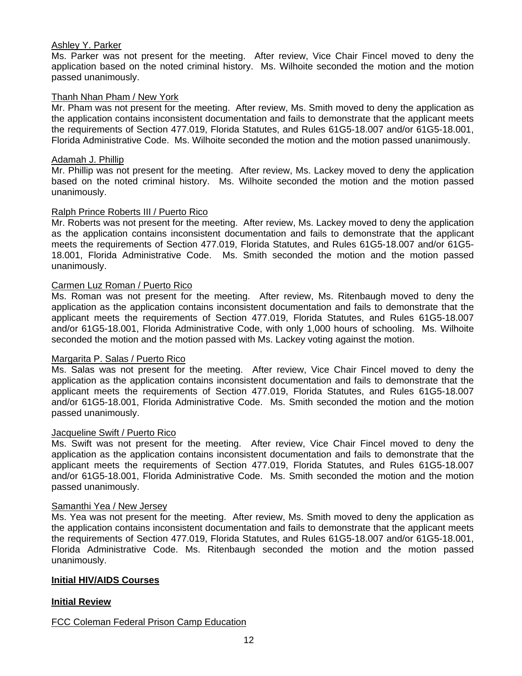# Ashley Y. Parker

Ms. Parker was not present for the meeting. After review, Vice Chair Fincel moved to deny the application based on the noted criminal history. Ms. Wilhoite seconded the motion and the motion passed unanimously.

## Thanh Nhan Pham / New York

Mr. Pham was not present for the meeting. After review, Ms. Smith moved to deny the application as the application contains inconsistent documentation and fails to demonstrate that the applicant meets the requirements of Section 477.019, Florida Statutes, and Rules 61G5-18.007 and/or 61G5-18.001, Florida Administrative Code. Ms. Wilhoite seconded the motion and the motion passed unanimously.

## Adamah J. Phillip

Mr. Phillip was not present for the meeting. After review, Ms. Lackey moved to deny the application based on the noted criminal history. Ms. Wilhoite seconded the motion and the motion passed unanimously.

## Ralph Prince Roberts III / Puerto Rico

Mr. Roberts was not present for the meeting. After review, Ms. Lackey moved to deny the application as the application contains inconsistent documentation and fails to demonstrate that the applicant meets the requirements of Section 477.019, Florida Statutes, and Rules 61G5-18.007 and/or 61G5- 18.001, Florida Administrative Code. Ms. Smith seconded the motion and the motion passed unanimously.

## Carmen Luz Roman / Puerto Rico

Ms. Roman was not present for the meeting. After review, Ms. Ritenbaugh moved to deny the application as the application contains inconsistent documentation and fails to demonstrate that the applicant meets the requirements of Section 477.019, Florida Statutes, and Rules 61G5-18.007 and/or 61G5-18.001, Florida Administrative Code, with only 1,000 hours of schooling. Ms. Wilhoite seconded the motion and the motion passed with Ms. Lackey voting against the motion.

## Margarita P. Salas / Puerto Rico

Ms. Salas was not present for the meeting. After review, Vice Chair Fincel moved to deny the application as the application contains inconsistent documentation and fails to demonstrate that the applicant meets the requirements of Section 477.019, Florida Statutes, and Rules 61G5-18.007 and/or 61G5-18.001, Florida Administrative Code. Ms. Smith seconded the motion and the motion passed unanimously.

## Jacqueline Swift / Puerto Rico

Ms. Swift was not present for the meeting. After review, Vice Chair Fincel moved to deny the application as the application contains inconsistent documentation and fails to demonstrate that the applicant meets the requirements of Section 477.019, Florida Statutes, and Rules 61G5-18.007 and/or 61G5-18.001, Florida Administrative Code. Ms. Smith seconded the motion and the motion passed unanimously.

## Samanthi Yea / New Jersey

Ms. Yea was not present for the meeting. After review, Ms. Smith moved to deny the application as the application contains inconsistent documentation and fails to demonstrate that the applicant meets the requirements of Section 477.019, Florida Statutes, and Rules 61G5-18.007 and/or 61G5-18.001, Florida Administrative Code. Ms. Ritenbaugh seconded the motion and the motion passed unanimously.

## **Initial HIV/AIDS Courses**

## **Initial Review**

## FCC Coleman Federal Prison Camp Education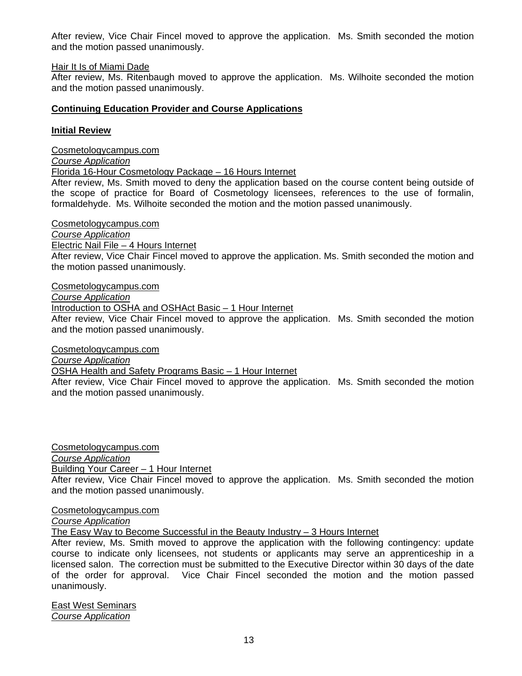After review, Vice Chair Fincel moved to approve the application. Ms. Smith seconded the motion and the motion passed unanimously.

# Hair It Is of Miami Dade

After review, Ms. Ritenbaugh moved to approve the application. Ms. Wilhoite seconded the motion and the motion passed unanimously.

# **Continuing Education Provider and Course Applications**

# **Initial Review**

Cosmetologycampus.com

*Course Application*

# Florida 16-Hour Cosmetology Package – 16 Hours Internet

After review, Ms. Smith moved to deny the application based on the course content being outside of the scope of practice for Board of Cosmetology licensees, references to the use of formalin, formaldehyde. Ms. Wilhoite seconded the motion and the motion passed unanimously.

Cosmetologycampus.com

*Course Application* 

Electric Nail File – 4 Hours Internet

After review, Vice Chair Fincel moved to approve the application. Ms. Smith seconded the motion and the motion passed unanimously.

Cosmetologycampus.com

*Course Application*

Introduction to OSHA and OSHAct Basic – 1 Hour Internet

After review, Vice Chair Fincel moved to approve the application. Ms. Smith seconded the motion and the motion passed unanimously.

Cosmetologycampus.com

*Course Application*

OSHA Health and Safety Programs Basic – 1 Hour Internet

After review, Vice Chair Fincel moved to approve the application. Ms. Smith seconded the motion and the motion passed unanimously.

Cosmetologycampus.com *Course Application* Building Your Career – 1 Hour Internet After review, Vice Chair Fincel moved to approve the application. Ms. Smith seconded the motion and the motion passed unanimously.

Cosmetologycampus.com

*Course Application*

The Easy Way to Become Successful in the Beauty Industry  $-3$  Hours Internet

After review, Ms. Smith moved to approve the application with the following contingency: update course to indicate only licensees, not students or applicants may serve an apprenticeship in a licensed salon. The correction must be submitted to the Executive Director within 30 days of the date of the order for approval. Vice Chair Fincel seconded the motion and the motion passed unanimously.

East West Seminars *Course Application*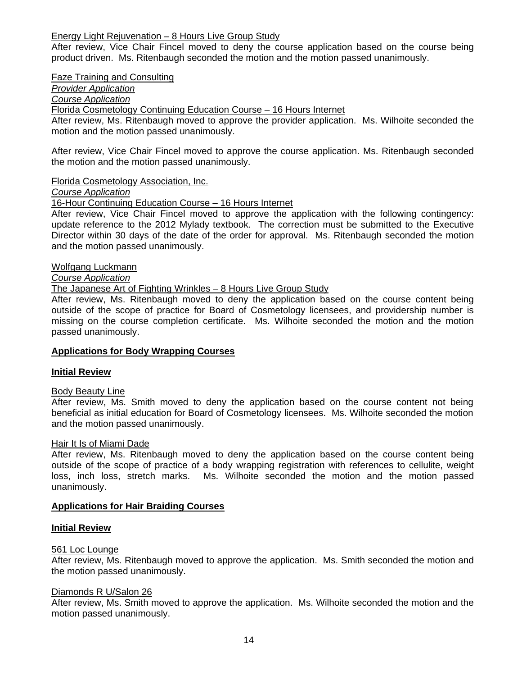## Energy Light Rejuvenation – 8 Hours Live Group Study

After review, Vice Chair Fincel moved to deny the course application based on the course being product driven. Ms. Ritenbaugh seconded the motion and the motion passed unanimously.

Faze Training and Consulting

*Provider Application*

*Course Application*

Florida Cosmetology Continuing Education Course – 16 Hours Internet

After review, Ms. Ritenbaugh moved to approve the provider application. Ms. Wilhoite seconded the motion and the motion passed unanimously.

After review, Vice Chair Fincel moved to approve the course application. Ms. Ritenbaugh seconded the motion and the motion passed unanimously.

Florida Cosmetology Association, Inc.

*Course Application*

# 16-Hour Continuing Education Course - 16 Hours Internet

After review, Vice Chair Fincel moved to approve the application with the following contingency: update reference to the 2012 Mylady textbook. The correction must be submitted to the Executive Director within 30 days of the date of the order for approval. Ms. Ritenbaugh seconded the motion and the motion passed unanimously.

## Wolfgang Luckmann

*Course Application*

# The Japanese Art of Fighting Wrinkles – 8 Hours Live Group Study

After review, Ms. Ritenbaugh moved to deny the application based on the course content being outside of the scope of practice for Board of Cosmetology licensees, and providership number is missing on the course completion certificate. Ms. Wilhoite seconded the motion and the motion passed unanimously.

# **Applications for Body Wrapping Courses**

## **Initial Review**

Body Beauty Line

After review, Ms. Smith moved to deny the application based on the course content not being beneficial as initial education for Board of Cosmetology licensees.Ms. Wilhoite seconded the motion and the motion passed unanimously.

## Hair It Is of Miami Dade

After review, Ms. Ritenbaugh moved to deny the application based on the course content being outside of the scope of practice of a body wrapping registration with references to cellulite, weight loss, inch loss, stretch marks. Ms. Wilhoite seconded the motion and the motion passed unanimously.

## **Applications for Hair Braiding Courses**

# **Initial Review**

# 561 Loc Lounge

After review, Ms. Ritenbaugh moved to approve the application. Ms. Smith seconded the motion and the motion passed unanimously.

## Diamonds R U/Salon 26

After review, Ms. Smith moved to approve the application. Ms. Wilhoite seconded the motion and the motion passed unanimously.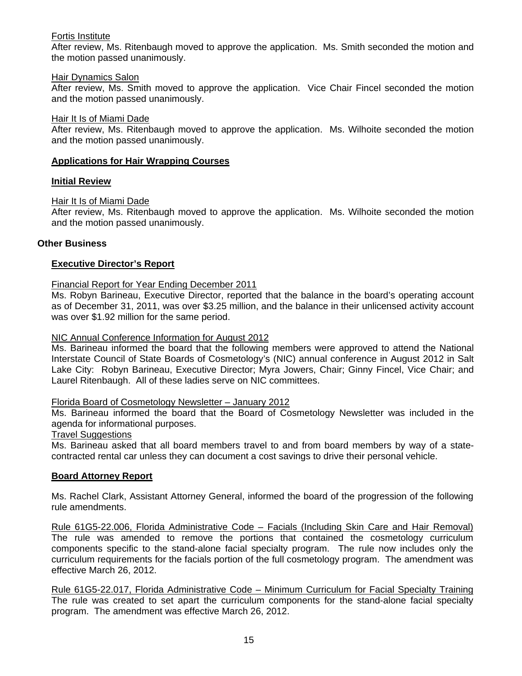# Fortis Institute

After review, Ms. Ritenbaugh moved to approve the application. Ms. Smith seconded the motion and the motion passed unanimously.

## Hair Dynamics Salon

After review, Ms. Smith moved to approve the application. Vice Chair Fincel seconded the motion and the motion passed unanimously.

# **Hair It Is of Miami Dade**

After review, Ms. Ritenbaugh moved to approve the application. Ms. Wilhoite seconded the motion and the motion passed unanimously.

# **Applications for Hair Wrapping Courses**

# **Initial Review**

# Hair It Is of Miami Dade

After review, Ms. Ritenbaugh moved to approve the application. Ms. Wilhoite seconded the motion and the motion passed unanimously.

# **Other Business**

# **Executive Director's Report**

# Financial Report for Year Ending December 2011

Ms. Robyn Barineau, Executive Director, reported that the balance in the board's operating account as of December 31, 2011, was over \$3.25 million, and the balance in their unlicensed activity account was over \$1.92 million for the same period.

## NIC Annual Conference Information for August 2012

Ms. Barineau informed the board that the following members were approved to attend the National Interstate Council of State Boards of Cosmetology's (NIC) annual conference in August 2012 in Salt Lake City: Robyn Barineau, Executive Director; Myra Jowers, Chair; Ginny Fincel, Vice Chair; and Laurel Ritenbaugh. All of these ladies serve on NIC committees.

## Florida Board of Cosmetology Newsletter – January 2012

Ms. Barineau informed the board that the Board of Cosmetology Newsletter was included in the agenda for informational purposes.

## Travel Suggestions

Ms. Barineau asked that all board members travel to and from board members by way of a statecontracted rental car unless they can document a cost savings to drive their personal vehicle.

## **Board Attorney Report**

Ms. Rachel Clark, Assistant Attorney General, informed the board of the progression of the following rule amendments.

Rule 61G5-22.006, Florida Administrative Code – Facials (Including Skin Care and Hair Removal) The rule was amended to remove the portions that contained the cosmetology curriculum components specific to the stand-alone facial specialty program. The rule now includes only the curriculum requirements for the facials portion of the full cosmetology program. The amendment was effective March 26, 2012.

Rule 61G5-22.017, Florida Administrative Code – Minimum Curriculum for Facial Specialty Training The rule was created to set apart the curriculum components for the stand-alone facial specialty program. The amendment was effective March 26, 2012.